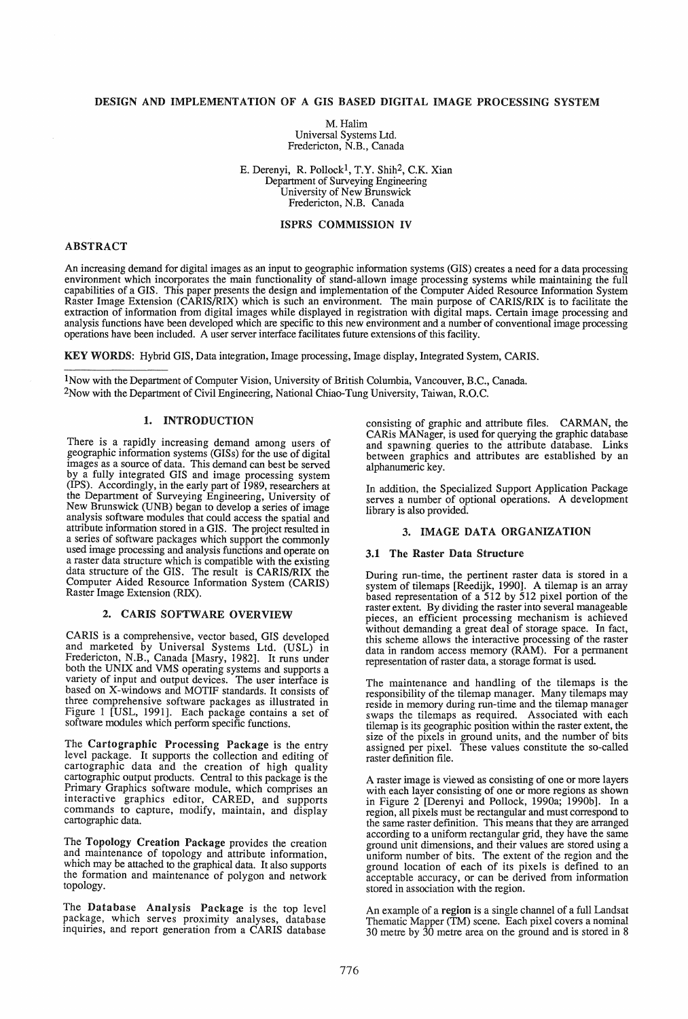# DESIGN AND IMPLEMENTATION OF A GIS BASED DIGITAL IMAGE PROCESSING SYSTEM

M.Halim Universal Systems Ltd. Fredericton, N.B., Canada

E. Derenyi, R. Pollock!, T.Y. Shih2, C.K. Xian Department of Surveying Engineering University of New Brunswick Fredericton, N.B. Canada

## ISPRS COMMISSION IV

# ABSTRACT

An increasing demand for digital images as an input to geographic information systems (GIS) creates a need for a data processing environment which incorporates the main functionality of stand-allown image processing systems while maintaining the full capabilities of a GIS. This paper presents the design and implementation of the Computer Aided Resource Information System Raster Image Extension (CARIS/RIX) which is such an environment. The main purpose of CARIS/RIX is to facilitate the extraction of information from digital images while displayed in registration with digital maps. Certain image processing and analysis functions have been developed which are specific to this new environment and a number of conventional image processing operations have been included. A user server interface facilitates future extensions of this facility.

KEY WORDS: Hybrid GIS, Data integration, Image processing, Image display, Integrated System, CARIS.

1 Now with the Department of Computer Vision, University of British Columbia, Vancouver, B.C., Canada. 2Now with the Department of Civil Engineering, National Chiao-Tung University, Taiwan, R.O.C.

# 1. INTRODUCTION

There is a rapidly increasing demand among users of geographic information systems (GISs) for the use of digital images as a source of data. This demand can best be served by a fully integrated GIS and image processing system (IPS). Accordingly, in the early part of 1989, researchers at the Department of Surveying Engineering, University of New Brunswick (UNB) began to develop a series of image analysis software modules that could access the spatial and attribute information stored in a GIS. The project resulted in a series of software packages which support the commonly a series of software packages which support the commonly used image processing and analysis functions and operate on a raster data structure which is compatible with the existing data structure of the GIS. The result is CARIS/RIX the Computer Aided Resource Information System (CARIS) Raster Image Extension (RIX).

#### 2. CARIS SOFTWARE OVERVIEW

CARIS is a comprehensive, vector based, GIS developed and marketed by Universal Systems Ltd. (USL) in Fredericton, N.B., Canada [Masry, 1982]. It runs under both the UNIX and VMS operating systems and supports a variety of input and output devices. The user interface is based on X-windows and MOTIF standards. It consists of three comprehensive software packages as illustrated in Figure 1 [USL, 1991]. Each package contains a set of software modules which perform specific functions.

The Cartographic Processing Package is the entry level package. It supports the collection and editing of cartographic data and the creation of high quality cartographic output products. Central to this package is the Primary Graphics software module, which comprises an interactive graphics editor, CARED, and supports commands to capture, modify, maintain, and display cartographic data.

The Topology Creation Package provides the creation and maintenance of topology and attribute information, which may be attached to the graphical data. It also supports the formation and maintenance of polygon and network topology.

The Database Analysis Package is the top level package, which serves proximity analyses, database inquiries, and report generation from a CARIS database

consisting of graphic and attribute files. CARMAN, the CARis MANager, is used for querying the graphic database and spawning queries to the attribute database. Links between graphics and attributes are established by an alphanumeric key.

In addition, the Specialized Support Application Package serves a number of optional operations. A development library is also provided.

# 3. IMAGE DATA ORGANIZATION

#### 3.1 The Raster Data Structure

During run-time, the pertinent raster data is stored in a system of tilemaps [Reedijk, 1990]. A tilemap is an array based representation of a 512 by 512 pixel portion of the raster extent. By dividing the raster into several manageable pieces, an efficient processing mechanism is achieved without demanding a great deal of storage space. In fact, this scheme allows the interactive processing of the raster data in random access memory (RAM). For a permanent representation of raster data, a storage format is used.

The maintenance and handling of the tilemaps is the responsibility of the tilemap manager. Many tilemaps may reside in memory during run-time and the tllemap manager swaps the tilemaps as required. Associated with each  $t$ ilemap is its geographic position within the raster extent, the size of the pixels in ground units, and the number of bits assigned per pixel. These values constitute the so-called raster definition file.

A raster image is viewed as consisting of one or more layers with each layer consisting of one or more regions as shown in Figure 2 [Derenyi and Pollock, 1990a; 1990b]. In a region, all pixels must be rectangular and must correspond to the same raster definition. This means that they are arranged according to a uniform rectangular grid, they have the same ground unit dimensions, and their values are stored using a ground unit dimensions, and their values are stored usmg a uniform number of bits. The extent of the region and the ground location of each of its pixels is defined to an acceptable accuracy, or can be derived from information stored in association with the region.

An example of a region is a single channel of a full Landsat Thematic Mapper (TM) scene. Each pixel covers a nominal 30 metre by 30 metre area on the ground and is stored in 8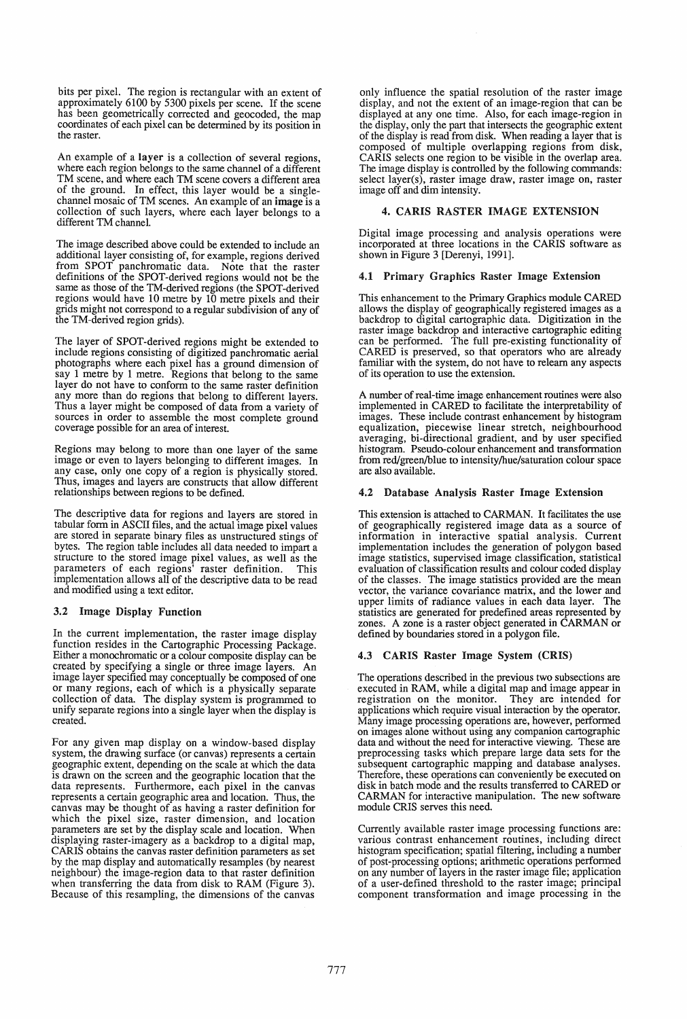bits per pixel. The region is rectangular with an extent of approximately 6100 by 5300 pixels per scene. If the scene has been geometrically corrected and geocoded, the map coordinates of each pixel can be determined by its position in the raster.

An example of a layer is a collection of several regions, where each region belongs to the same channel of a different TM scene, and where each TM scene covers a different area of the ground. In effect, this layer would be a singlechannel mosaic of TM scenes. An example of an image is a collection of such layers, where each layer belongs to a different TM channel.

The image described above could be extended to include an additional layer consisting of, for example, regions derived from SPOT panchromatic data. Note that the raster definitions of the SPOT-derived regions would not be the same as those of the TM-derived regions (the SPOT-derived regions would have 10 metre by 10 metre pixels and their grids might not correspond to a regular subdivision of any of the TM-derived region grids).

The layer of SPOT-derived regions might be extended to include regions consisting of digitized panchromatic aerial photographs where each pixel has a ground dimension of say 1 metre by 1 metre. Regions that belong to the same layer do not have to conform to the same raster definition any more than do regions that belong to different layers. Thus a layer might be composed of data from a variety of sources in order to assemble the most complete ground coverage possible for an area of interest.

Regions may belong to more than one layer of the same image or even to layers belonging to different images. In any case, only one copy of a region is physically stored. Thus, images and layers are constructs that allow different relationships between regions to be defmed.

The descriptive data for regions and layers are stored in tabular form in ASCII files, and the actual image pixel values are stored in separate binary files as unstructured stings of bytes. The region table includes all data needed to impart a structure to the stored image pixel values, as well as the parameters of each regions' raster definition. This implementation allows all of the descriptive data to be read and modified using a text editor.

### 3.2 Image Display Function

In the current implementation, the raster image display function resides in the Cartographic Processing Package. Either a monochromatic or a colour composite display can be created by specifying a single or three image layers. An image layer specified may conceptually be composed of one or many regions, each of which is a physically separate collection of data. The display system is programmed to unify separate regions into a single layer when the display is created.

For any given map display on a window-based display system, the drawing surface (or canvas) represents a certain geographic extent, depending on the scale at which the data is drawn on the screen and the geographic location that the data represents. Furthermore, each pixel in the canvas represents a certain geographic area and location. Thus, the canvas may be thought of as having a raster definition for which the pixel size, raster dimension, and location parameters are set by the display scale and location. When displaying raster-imagery as a backdrop to a digital map, CARIS obtains the canvas raster definition parameters as set by the map display and automatically resamples (by nearest neighbour) the image-region data to that raster definition when transferring the data from disk to RAM (Figure 3). Because of this resampling, the dimensions of the canvas

only influence the spatial resolution of the raster image display, and not the extent of an image-region that can be displayed at anyone time. Also, for each image-region in the display, only the part that intersects the geographic extent of the display is read from disk. When reading a layer that is composed of multiple overlapping regions from disk, CARIS selects one region to be visible in the overlap area. The image display is controlled by the following commands: select layer(s), raster image draw, raster image on, raster image off and dim intensity.

### 4. CARIS RASTER IMAGE EXTENSION

Digital image processing and analysis operations were incorporated at three locations in the CARIS software as shown in Figure 3 [Derenyi, 1991].

#### 4.1 Primary Graphics Raster Image Extension

This enhancement to the Primary Graphics module CARED allows the display of geographically registered images as a backdrop to digital cartographic data. Digitization in the raster image backdrop and interactive cartographic editing can be performed. The full pre-existing functionality of CARED is preserved, so that operators who are already familiar with the system, do not have to relearn any aspects of its operation to use the extension.

A number of real-time image enhancement routines were also implemented in CARED to facilitate the interpretability of images. These include contrast enhancement by histogram equalization, piecewise linear stretch, neighbourhood averaging, bi-directional gradient, and by user specified histogram. Pseudo-colour enhancement and transformation from red/green/blue to intensity/hue/saturation colour space are also available.

## 4.2 Database Analysis Raster Image Extension

This extension is attached to CARMAN. It facilitates the use of geographically registered image data as a source of information in interactive spatial analysis. Current implementation includes the generation of polygon based image statistics, supervised image classification, statistical evaluation of classification results and colour coded display of the classes. The image statistics provided are the mean vector, the variance covariance matrix, and the lower and upper limits of radiance values in each data layer. The statistics are generated for predefined areas represented by zones. A zone is a raster object generated in CARMAN or defined by boundaries stored in a polygon file.

### 4.3 CARIS Raster Image System (CRIS)

The operations described in the previous two subsections are executed in RAM, while a digital map and image appear in registration on the monitor. They are intended for registration on the monitor. applications which require visual interaction by the operator. Many image processing operations are, however, performed on images alone without using any companion cartographic data and without the need for interactive viewing. These are preprocessing tasks which prepare large data sets for the subsequent cartographic mapping and database analyses. Therefore, these operations can conveniently be executed on disk in batch mode and the results transferred to CARED or CARMAN for interactive manipulation. The new software module CRIS serves this need.

Currently available raster image processing functions are: various contrast enhancement routines, including direct histogram specification; spatial filtering, including a number of post-processing options; arithmetic operations performed on any number of layers in the raster image file; application of a user-defined threshold to the raster image; principal component transformation and image processing in the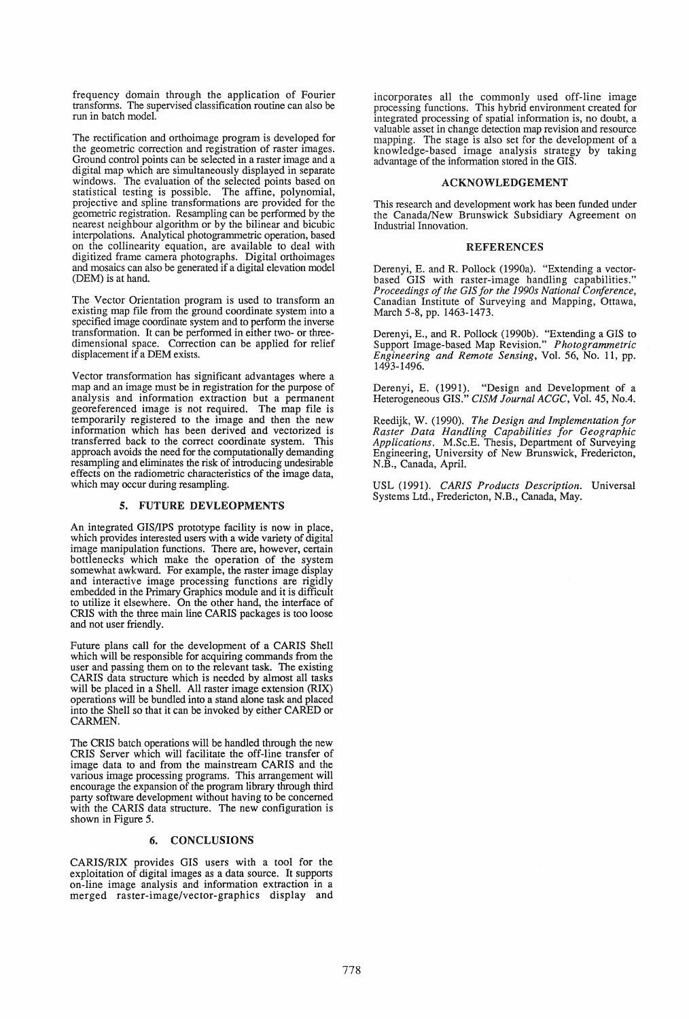frequency domain through the application of Fourier transforms. The supervised classification routine can also be run in batch model.

The rectification and orthoimage program is developed for the geometric correction and registration of raster images. Ground control points can be selected in a raster image and a digital map which are simultaneously displayed in separate windows. The evaluation of the selected points based on statistical testing is possible. The affine, polynomial, projective and spline transformations are provided for the geometric registration. Resampling can be performed by the nearest neighbour algorithm or by the bilinear and bicubic interpolations. Analytical photogrammetric operation, based on the collinearity equation, are available to deal with digitized frame camera photographs. Digital orthoimages and mosaics can also be generated if a digital elevation model (DEM) is at hand.

The Vector Orientation program is used to transform an existing map file from the ground coordinate system into a specified image coordinate system and to perform the inverse transformation. It can be performed in either two- or threedimensional space. Correction can be applied for relief displacement if a DEM exists.

Vector transformation has significant advantages where a map and an image must be in registration for the purpose of analysis and information extraction but a permanent georeferenced image is not required. The map file is temporarily registered to the image and then the new information which has been derived and vectorized is transferred back to the correct coordinate system. This approach avoids the need for the computationally demanding resampling and eliminates the risk of introducing undesirable effects on the radiometric characteristics of the image data, which may occur during resampling.

## 5. FUTURE DEVLEOPMENTS

An integrated *GISIIPS* prototype facility is now in place, which provides interested users with a wide variety of digital image manipulation functions. There are, however, certain bottlenecks which make the operation of the system somewhat awkward. For example, the raster image display and interactive image processing functions are rigidly embedded in the Primary Graphics module and it is difficult to utilize it elsewhere. On the other hand, the interface of CRIS with the three main line CARIS packages is too loose and not user friendly.

Future plans call for the development of a CARIS Shell which will be responsible for acquiring commands from the user and passing them on to the relevant task. The existing CARIS data structure which is needed by almost all tasks will be placed in a Shell. All raster image extension (RIX) operations will be bundled into a stand alone task and placed into the Shell so that it can be invoked by either CARED or CARMEN.

The CRIS batch operations will be handled through the new CRIS Server which will facilitate the off-line transfer of image data to and from the mainstream CARIS and the various image processing programs. This arrangement will encourage the expansion of the program library through third party software development without having to be concerned with the CARIS data structure. The new configuration is shown in Figure 5.

## 6. CONCLUSIONS

CARIS/RIX provides GIS users with a tool for the exploitation of digital images as a data source. It supports on-line image analysis and information extraction in a merged raster-image/vector-graphics display and

incorporates all the commonly used off-line image processing functions. This hybrid environment created for integrated processing of spatial information is, no doubt, a valuable asset in change detection map revision and resource mapping. The stage is also set for the development of a knowledge-based image analysis strategy by taking advantage of the information stored in the GIS.

#### ACKNOWLEDGEMENT

This research and development work has been funded under the Canada/New Brunswick Subsidiary Agreement on Industrial Innovation.

### REFERENCES

Derenyi, E. and R. Pollock (1990a). "Extending a vectorbased GIS with raster-image handling capabilities." *Proceedings of the GIS for the 1990s National Conference,*  Canadian Institute of Surveying and Mapping, Ottawa, March 5-8, pp. 1463-1473.

Derenyi, E., and R. Pollock (l990b). "Extending a GIS to Support Image-based Map Revision." *Photogrammetric Engineering and Remote Sensing,* Vol. 56, No. 11, pp. 1493-1496.

Derenyi, E. (1991). "Design and Development of a Heterogeneous GIS." *CISM Journal ACGC,* Vol. 45, No.4.

Reedijk, W. (1990). *The Design and Implementation for Raster Data Handling Capabilities for Geographic Applications.* M.Sc.E. Thesis, Department of Surveying Engineering, University of New Brunswick, Fredericton, N.B., Canada, April.

USL (1991). *CARIS Products Description.* Universal Systems Ltd., Fredericton, N.B., Canada, May.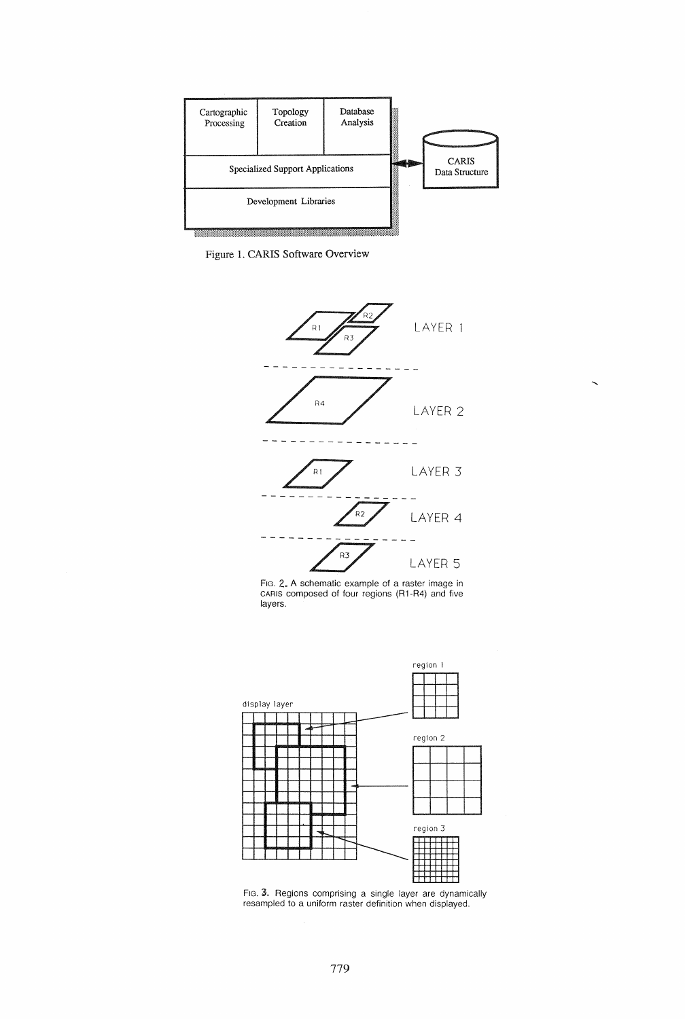

Figure 1. CARIS Software Overview



Fig. 2. A schematic example of a raster image in CARIS composed of four regions (R1-R4) and five layers.



resampled to a uniform raster definition when displayed.